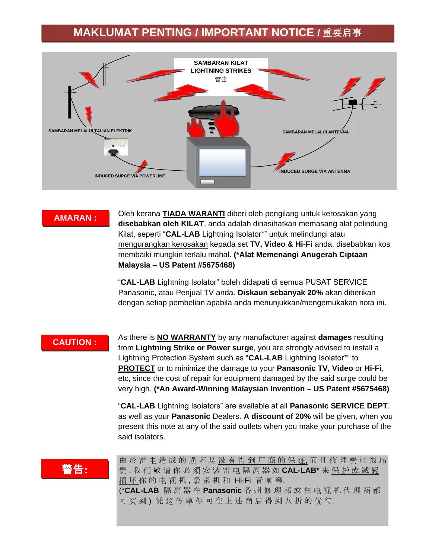## **MAKLUMAT PENTING / IMPORTANT NOTICE /** 重要启事



### **AMARAN :**

Oleh kerana **TIADA WARANTI** diberi oleh pengilang untuk kerosakan yang **disebabkan oleh KILAT**, anda adalah dinasihatkan memasang alat pelindung Kilat, seperti "**CAL-LAB** Lightning Isolator\*" untuk melindungi atau mengurangkan kerosakan kepada set **TV, Video & Hi-Fi** anda, disebabkan kos membaiki mungkin terlalu mahal. **(\*Alat Memenangi Anugerah Ciptaan Malaysia – US Patent #5675468)**

"**CAL-LAB** Lightning Isolator" boleh didapati di semua PUSAT SERVICE Panasonic, atau Penjual TV anda. **Diskaun sebanyak 20%** akan diberikan dengan setiap pembelian apabila anda menunjukkan/mengemukakan nota ini.

## **CAUTION :**

As there is **NO WARRANTY** by any manufacturer against **damages** resulting from **Lightning Strike or Power surge**, you are strongly advised to install a Lightning Protection System such as "**CAL-LAB** Lightning Isolator\*" to **PROTECT** or to minimize the damage to your **Panasonic TV, Video** or **Hi-Fi**, etc, since the cost of repair for equipment damaged by the said surge could be very high. **(\*An Award-Winning Malaysian Invention – US Patent #5675468)**

"**CAL-LAB** Lightning Isolators" are available at all **Panasonic SERVICE DEPT**. as well as your **Panasonic** Dealers. **A discount of 20%** will be given, when you present this note at any of the said outlets when you make your purchase of the said isolators.

# 警告**:**

由 於 雷 电 造 成 的 损 坏 是 没 有 得 到 厂 商 的 保 证, 而 且 修 理 费 也 很 昂 贵 . 我 们 敬 请 你 必 须 安 装 雷 电 隔 离 器 如 **CAL-LAB\*** 来 保 护 或 减 轻 损 坏 你 的 电 视 机, 录 影 机 和 Hi-Fi 音 响 等. (\***CAL-LAB** 隔 离 器 在 **Panasonic** 各 州 修 理 部 或 在 电 视 机 代 理 商 都 可 买 到 ) 凭 这 传 单 你 可 在 上 述 商 店 得 到 八 折 的 优 待.